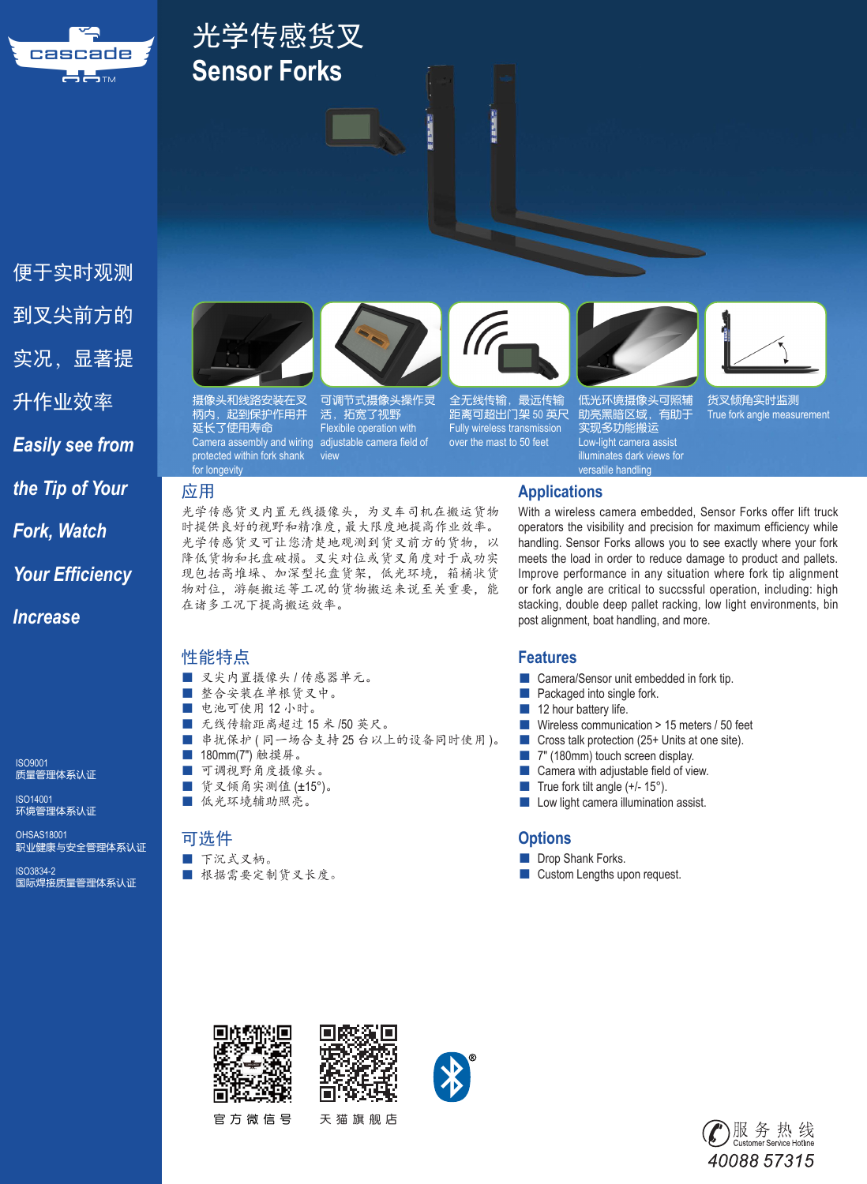

# 光学传感货叉 **Sensor Forks**

便于实时观测 到叉尖前方的 实况,显著提 升作业效率 *Easily see from the Tip of Your Fork, Watch Your Efficiency* 

ISO9001 质量管理体系认证

*Increase*

ISO14001 环境管理体系认证

OHSAS18001 职业健康与安全管理体系认证

ISO3834-2 国际焊接质量管理体系认证



摄<mark>像头和线路安装在叉</mark><br>柄内,起到保护作<u>用并</u> 柄内,起到保护作用并 延长了使用寿命 Camera assembly and wiring protected within fork shank for longevity

光学传感货叉内置无线摄像头,为叉车司机在搬运货物 时提供良好的视野和精准度,最大限度地提高作业效率。 光学传感货叉可让您清楚地观测到货叉前方的货物,以 降低货物和托盘破损。叉尖对位或货叉角度对于成功实 现包括高堆垛、加深型托盘货架,低光环境,箱桶状货 物对位,游艇搬运等工况的货物搬运来说至关重要,能 在诸多工况下提高搬运效率。

view

活,拓宽了视野 Flexibile operation with adjustable camera field of

#### 性能特点

- 叉尖内置摄像头 / 传感器单元。
- 整合安装在单根货叉中。
- 电池可使用 12 小时。
- 无线传输距离超过 15 米 /50 英尺。
- 串扰保护 (同一场合支持25台以上的设备同时使用)。
- 180mm(7")触摸屏。
- 可调视野角度摄像头。
- 货叉倾角实测值 (±15°)。
- 低光环境辅助照亮。

#### 可选件

#### ■ 下沉式叉柄。

■ 根据需要定制货叉长度。

可调节式摄像头操作灵<br>活,拓宽了视野

全无线传输, 最远传输 距离可超出门架 50 英尺 Fully wireless transmission over the mast to 50 feet

小田 三郎

**Company** 



助亮黑暗区域,有助于 实现多功能搬运 Low-light camera assist illuminates dark views for versatile handling

货叉倾角实时监测 True fork angle measurement

#### 应用 **Applications**

With a wireless camera embedded, Sensor Forks offer lift truck operators the visibility and precision for maximum efficiency while handling. Sensor Forks allows you to see exactly where your fork meets the load in order to reduce damage to product and pallets. Improve performance in any situation where fork tip alignment or fork angle are critical to succssful operation, including: high stacking, double deep pallet racking, low light environments, bin post alignment, boat handling, and more.

#### **Features**

- Camera/Sensor unit embedded in fork tip.
- Packaged into single fork.
- 12 hour battery life.
- Wireless communication > 15 meters / 50 feet
- Cross talk protection (25+ Units at one site).
- 7" (180mm) touch screen display.
- Camera with adjustable field of view.
- True fork tilt angle (+/- 15°).
- Low light camera illumination assist.

#### **Options**

- Drop Shank Forks.
- Custom Lengths upon request.



官方微信号 天猫旗舰店





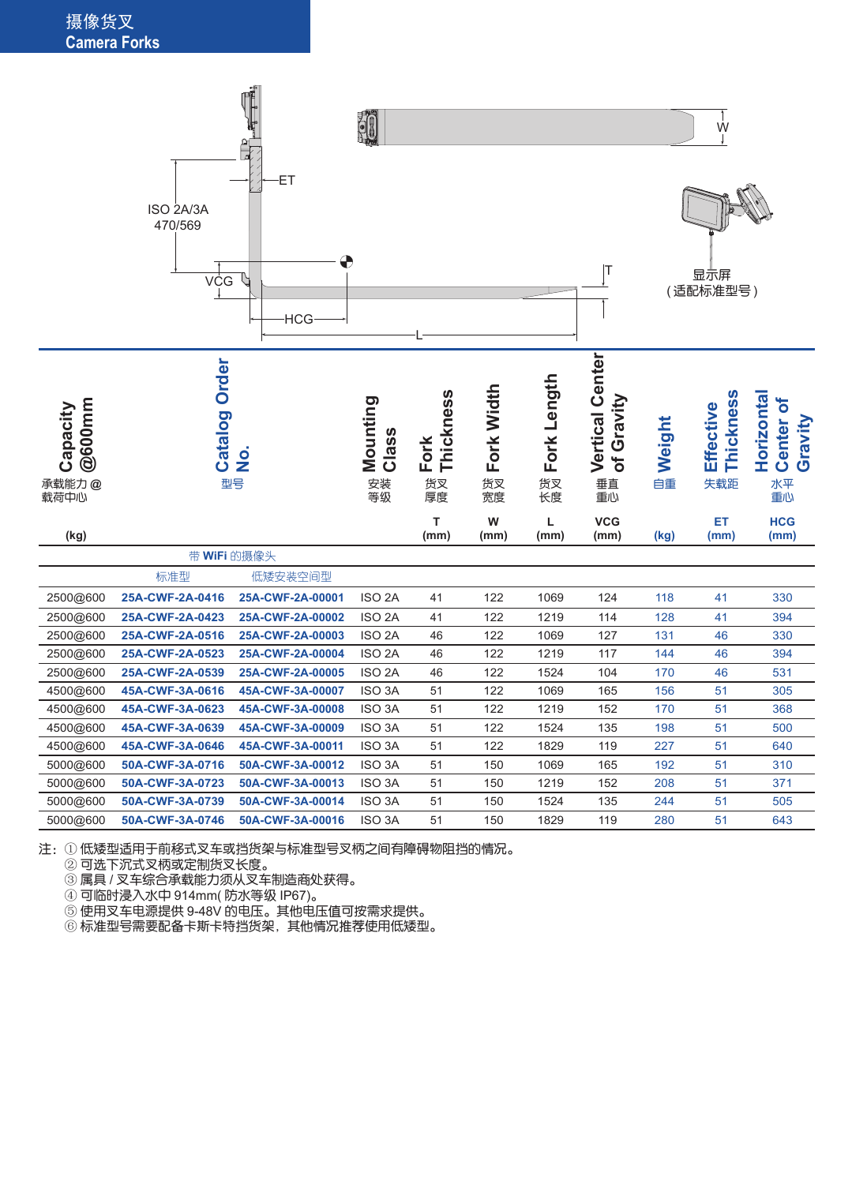#### 摄像货叉 **Camera Forks**



注:① 低矮型适用于前移式叉车或挡货架与标准型号叉柄之间有障碍物阻挡的情况。

② 可选下沉式叉柄或定制货叉长度。

③ 属具 / 叉车综合承载能力须从叉车制造商处获得。

④ 可临时浸入水中 914mm( 防水等级 IP67)。

⑤ 使用叉车电源提供 9-48V 的电压。其他电压值可按需求提供。

⑥ 标准型号需要配备卡斯卡特挡货架,其他情况推荐使用低矮型。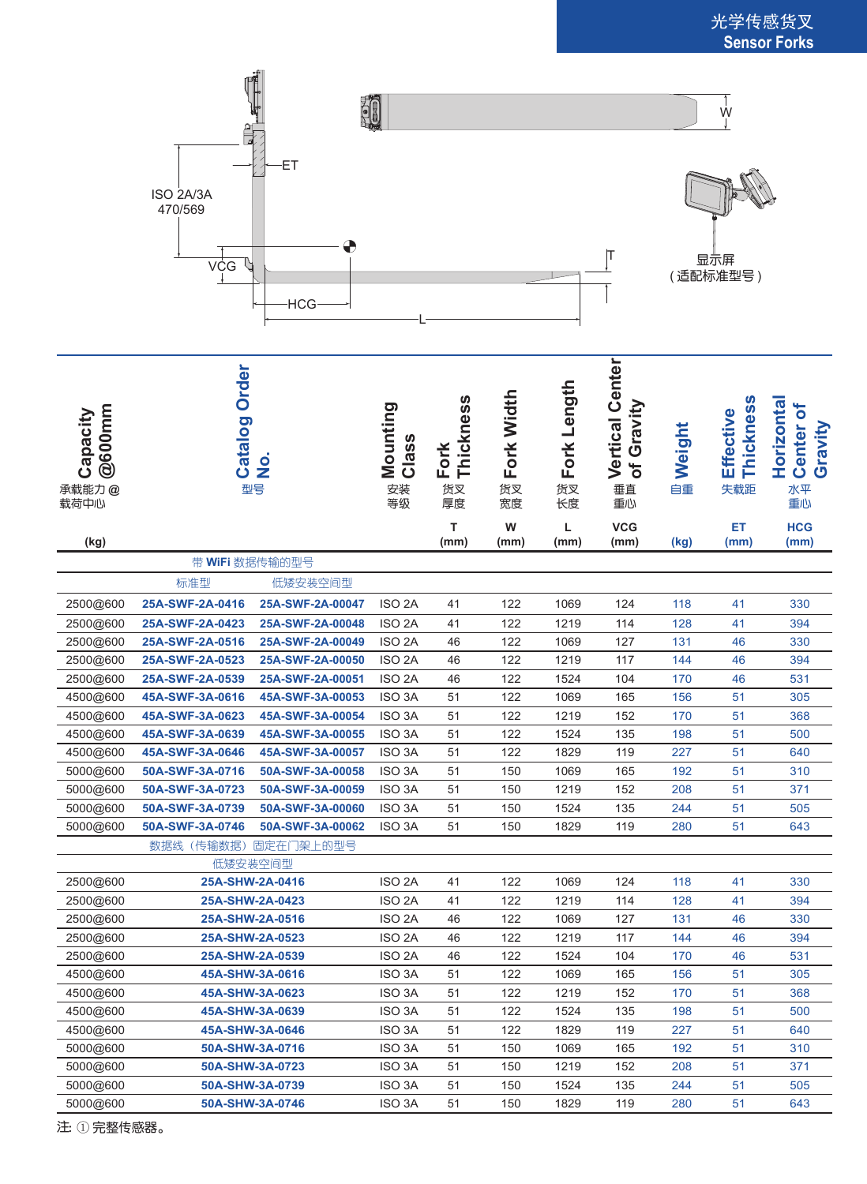

| @600mm<br>Capacity<br>承载能力@<br>载荷中心 | Order<br>Catalog<br>$\frac{1}{2}$<br>型号 |                  | Mounting<br>Class<br>安装<br>等级 | Fork<br>Thickness<br>货叉<br>厚度 | Fork Width<br>货叉<br>宽度 | Fork Length<br>货叉<br>长度 | <b>Vertical Center</b><br>Gravity<br>ð<br>垂直<br>重心 | Weight<br>自重 | Thickness<br>Effective<br>失载距 | Horizontal<br>ð<br>Center<br>Gravity<br>水平<br>重心 |
|-------------------------------------|-----------------------------------------|------------------|-------------------------------|-------------------------------|------------------------|-------------------------|----------------------------------------------------|--------------|-------------------------------|--------------------------------------------------|
| (kg)                                |                                         |                  |                               | т<br>(mm)                     | W<br>(mm)              | Г<br>(mm)               | <b>VCG</b><br>(mm)                                 | (kg)         | ET<br>(mm)                    | <b>HCG</b><br>(mm)                               |
|                                     | 带 WiFi 数据传输的型号                          |                  |                               |                               |                        |                         |                                                    |              |                               |                                                  |
|                                     | 标准型                                     | 低矮安装空间型          |                               |                               |                        |                         |                                                    |              |                               |                                                  |
| 2500@600                            | 25A-SWF-2A-0416                         | 25A-SWF-2A-00047 | ISO <sub>2</sub> A            | 41                            | 122                    | 1069                    | 124                                                | 118          | 41                            | 330                                              |
| 2500@600                            | 25A-SWF-2A-0423                         | 25A-SWF-2A-00048 | ISO <sub>2</sub> A            | 41                            | 122                    | 1219                    | 114                                                | 128          | 41                            | 394                                              |
| 2500@600                            | 25A-SWF-2A-0516                         | 25A-SWF-2A-00049 | ISO <sub>2</sub> A            | 46                            | 122                    | 1069                    | 127                                                | 131          | 46                            | 330                                              |
| 2500@600                            | 25A-SWF-2A-0523                         | 25A-SWF-2A-00050 | ISO <sub>2A</sub>             | 46                            | 122                    | 1219                    | 117                                                | 144          | 46                            | 394                                              |
| 2500@600                            | 25A-SWF-2A-0539                         | 25A-SWF-2A-00051 | ISO <sub>2</sub> A            | 46                            | 122                    | 1524                    | 104                                                | 170          | 46                            | 531                                              |
| 4500@600                            | 45A-SWF-3A-0616                         | 45A-SWF-3A-00053 | ISO <sub>3</sub> A            | 51                            | 122                    | 1069                    | 165                                                | 156          | 51                            | 305                                              |
| 4500@600                            | 45A-SWF-3A-0623                         | 45A-SWF-3A-00054 | ISO <sub>3</sub> A            | 51                            | 122                    | 1219                    | 152                                                | 170          | 51                            | 368                                              |
| 4500@600                            | 45A-SWF-3A-0639                         | 45A-SWF-3A-00055 | ISO <sub>3</sub> A            | 51                            | 122                    | 1524                    | 135                                                | 198          | 51                            | 500                                              |
| 4500@600                            | 45A-SWF-3A-0646                         | 45A-SWF-3A-00057 | ISO <sub>3</sub> A            | 51                            | 122                    | 1829                    | 119                                                | 227          | 51                            | 640                                              |
| 5000@600                            | 50A-SWF-3A-0716                         | 50A-SWF-3A-00058 | ISO <sub>3</sub> A            | 51                            | 150                    | 1069                    | 165                                                | 192          | 51                            | 310                                              |
| 5000@600                            | 50A-SWF-3A-0723                         | 50A-SWF-3A-00059 | ISO <sub>3</sub> A            | 51                            | 150                    | 1219                    | 152                                                | 208          | 51                            | 371                                              |
| 5000@600                            | 50A-SWF-3A-0739                         | 50A-SWF-3A-00060 | ISO <sub>3</sub> A            | 51                            | 150                    | 1524                    | 135                                                | 244          | 51                            | 505                                              |
| 5000@600                            | 50A-SWF-3A-0746                         | 50A-SWF-3A-00062 | ISO <sub>3</sub> A            | 51                            | 150                    | 1829                    | 119                                                | 280          | 51                            | 643                                              |
|                                     | (传输数据)<br>固定在门架上的型号<br>数据线              |                  |                               |                               |                        |                         |                                                    |              |                               |                                                  |
|                                     | 低矮安装空间型                                 |                  |                               |                               |                        |                         |                                                    |              |                               |                                                  |
| 2500@600                            | 25A-SHW-2A-0416                         |                  | ISO <sub>2A</sub>             | 41                            | 122                    | 1069                    | 124                                                | 118          | 41                            | 330                                              |
| 2500@600                            | 25A-SHW-2A-0423                         |                  | ISO <sub>2</sub> A            | 41                            | 122                    | 1219                    | 114                                                | 128          | 41                            | 394                                              |
| 2500@600                            | 25A-SHW-2A-0516                         |                  | ISO <sub>2</sub> A            | 46                            | 122                    | 1069                    | 127                                                | 131          | 46                            | 330                                              |
| 2500@600                            | 25A-SHW-2A-0523                         |                  | ISO <sub>2</sub> A            | 46                            | 122                    | 1219                    | 117                                                | 144          | 46                            | 394                                              |
| 2500@600                            | 25A-SHW-2A-0539                         |                  | ISO <sub>2</sub> A            | 46                            | 122                    | 1524                    | 104                                                | 170          | 46                            | 531                                              |
| 4500@600                            | 45A-SHW-3A-0616                         |                  | ISO 3A                        | 51                            | 122                    | 1069                    | 165                                                | 156          | 51                            | 305                                              |
| 4500@600                            | 45A-SHW-3A-0623                         |                  | <b>ISO 3A</b>                 | 51                            | 122                    | 1219                    | 152                                                | 170          | 51                            | 368                                              |
| 4500@600                            | 45A-SHW-3A-0639                         |                  | ISO 3A                        | 51                            | 122                    | 1524                    | 135                                                | 198          | 51                            | 500                                              |
| 4500@600                            | 45A-SHW-3A-0646                         |                  | ISO <sub>3</sub> A            | 51                            | 122                    | 1829                    | 119                                                | 227          | 51                            | 640                                              |
| 5000@600                            | 50A-SHW-3A-0716                         |                  | ISO 3A                        | 51                            | 150                    | 1069                    | 165                                                | 192          | 51                            | 310                                              |
| 5000@600                            | 50A-SHW-3A-0723                         |                  | ISO 3A                        | 51                            | 150                    | 1219                    | 152                                                | 208          | 51                            | 371                                              |
| 5000@600                            | 50A-SHW-3A-0739                         |                  | ISO 3A                        | 51                            | 150                    | 1524                    | 135                                                | 244          | 51                            | 505                                              |
| 5000@600                            | 50A-SHW-3A-0746                         |                  | ISO 3A                        | 51                            | 150                    | 1829                    | 119                                                | 280          | 51                            | 643                                              |
| 注:①完整传感器。                           |                                         |                  |                               |                               |                        |                         |                                                    |              |                               |                                                  |